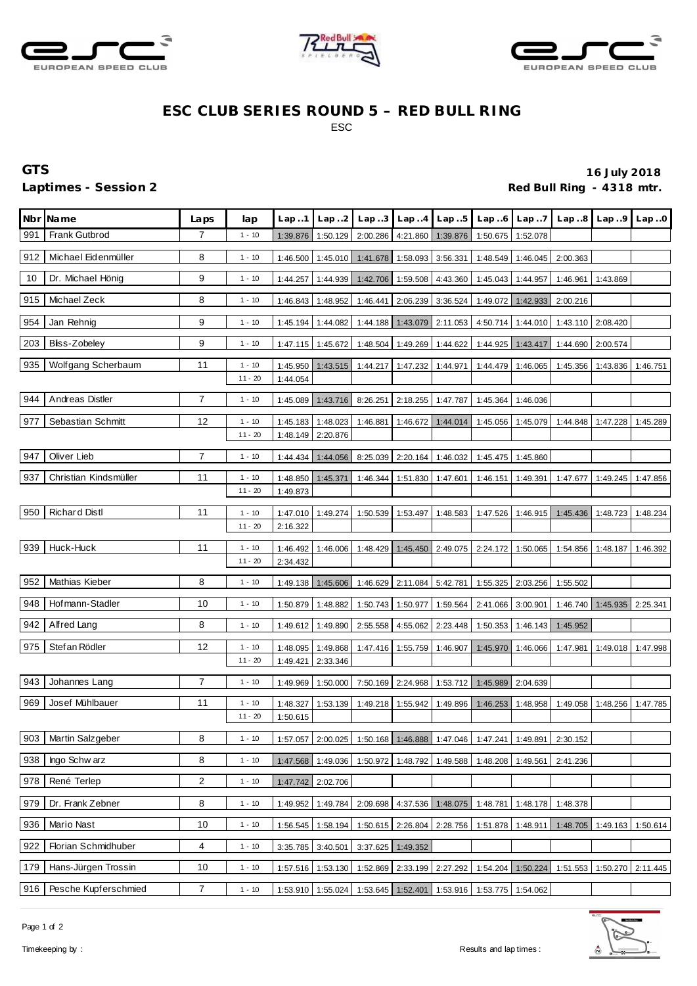





## **ESC CLUB SERIES ROUND 5 – RED BULL RING** ESC

## **GTS 16 July 2018**

Laptimes - Session 2 *Red Bull Ring - 4318 mtr.* 

| Nbr | <b>Name</b>           | Laps | lap       | Lap.1    | Lap.2             | Lap.3                                                                   | Lap.4                      | Lap.5             | Lap.6                                                          | Lap7                | Lap.8    | Lap.9             | Lap.0    |
|-----|-----------------------|------|-----------|----------|-------------------|-------------------------------------------------------------------------|----------------------------|-------------------|----------------------------------------------------------------|---------------------|----------|-------------------|----------|
| 991 | <b>Frank Gutbrod</b>  | 7    | $1 - 10$  | 1:39.876 | 1:50.129          | 2:00.286                                                                | 4:21.860                   | 1:39.876          |                                                                | 1:50.675   1:52.078 |          |                   |          |
| 912 | Michael Eidenmüller   | 8    | $1 - 10$  | 1:46.500 | 1:45.010          | 1:41.678                                                                |                            | 1:58.093 3:56.331 |                                                                | 1:48.549 1:46.045   | 2:00.363 |                   |          |
| 10  | Dr. Michael Hönig     | 9    | $1 - 10$  | 1:44.257 | 1:44.939          | 1:42.706                                                                | 1:59.508                   | 4:43.360          | 1:45.043                                                       | 1:44.957            | 1:46.961 | 1:43.869          |          |
| 915 | Michael Zeck          | 8    | $1 - 10$  | 1:46.843 | 1:48.952          | 1:46.441                                                                | 2:06.239                   | 3:36.524          | 1:49.072                                                       | 1:42.933            | 2:00.216 |                   |          |
| 954 | Jan Rehnig            | 9    | $1 - 10$  | 1:45.194 | 1:44.082          | 1:44.188                                                                | 1:43.079                   | 2:11.053          | 4:50.714                                                       | 1:44.010            |          | 1:43.110 2:08.420 |          |
| 203 | Bliss-Zobeley         | 9    | $1 - 10$  | 1:47.115 | 1:45.672          | 1:48.504                                                                | 1:49.269                   | 1:44.622          | 1:44.925                                                       | 1:43.417            | 1:44.690 | 2:00.574          |          |
| 935 | Wolfgang Scherbaum    | 11   | $1 - 10$  | 1:45.950 | 1:43.515          | 1:44.217                                                                | 1:47.232                   | 1:44.971          | 1:44.479                                                       | 1:46.065            | 1:45.356 | 1:43.836          | 1:46.751 |
|     |                       |      | $11 - 20$ | 1:44.054 |                   |                                                                         |                            |                   |                                                                |                     |          |                   |          |
| 944 | Andreas Distler       | 7    | $1 - 10$  | 1:45.089 | 1:43.716          | 8:26.251                                                                |                            | 2:18.255 1:47.787 | 1:45.364                                                       | 1:46.036            |          |                   |          |
| 977 | Sebastian Schmitt     | 12   | $1 - 10$  | 1:45.183 | 1:48.023          | 1:46.881                                                                | 1:46.672                   | 1:44.014          | 1:45.056                                                       | 1:45.079            | 1:44.848 | 1:47.228          | 1:45.289 |
|     |                       |      | $11 - 20$ | 1:48.149 | 2:20.876          |                                                                         |                            |                   |                                                                |                     |          |                   |          |
| 947 | Oliver Lieb           | 7    | $1 - 10$  | 1:44.434 | 1:44.056          |                                                                         | 8:25.039 2:20.164 1:46.032 |                   |                                                                | 1:45.475 1:45.860   |          |                   |          |
| 937 | Christian Kindsmüller | 11   | $1 - 10$  | 1:48.850 | 1:45.371          | 1:46.344                                                                | 1:51.830                   | 1:47.601          | 1:46.151                                                       | 1:49.391            | 1:47.677 | 1:49.245          | 1:47.856 |
|     |                       |      | $11 - 20$ | 1:49.873 |                   |                                                                         |                            |                   |                                                                |                     |          |                   |          |
| 950 | <b>Richard Distl</b>  | 11   | $1 - 10$  | 1:47.010 | 1:49.274          | 1:50.539                                                                | 1:53.497                   | 1:48.583          | 1:47.526                                                       | 1:46.915            | 1:45.436 | 1:48.723          | 1:48.234 |
|     |                       |      | $11 - 20$ | 2:16.322 |                   |                                                                         |                            |                   |                                                                |                     |          |                   |          |
| 939 | Huck-Huck             | 11   | $1 - 10$  | 1:46.492 | 1:46.006          | 1:48.429                                                                | 1:45.450                   | 2:49.075          | 2:24.172                                                       | 1:50.065            | 1:54.856 | 1:48.187          | 1:46.392 |
|     |                       |      | $11 - 20$ | 2:34.432 |                   |                                                                         |                            |                   |                                                                |                     |          |                   |          |
| 952 | Mathias Kieber        | 8    | $1 - 10$  | 1:49.138 | 1:45.606          | 1:46.629                                                                |                            | 2:11.084 5:42.781 |                                                                | 1:55.325 2:03.256   | 1:55.502 |                   |          |
| 948 | Hofmann-Stadler       | 10   | $1 - 10$  | 1:50.879 | 1:48.882          | 1:50.743                                                                | 1:50.977                   | 1:59.564          | 2:41.066 3:00.901                                              |                     |          | 1:46.740 1:45.935 | 2:25.341 |
| 942 | Alfred Lang           | 8    | $1 - 10$  | 1:49.612 | 1:49.890          | 2:55.558                                                                | 4:55.062                   | 2:23.448          | 1:50.353                                                       | 1:46.143            | 1:45.952 |                   |          |
| 975 | Stef an Rödler        | 12   | $1 - 10$  | 1:48.095 | 1:49.868          | 1:47.416                                                                | 1:55.759                   | 1:46.907          | 1:45.970                                                       | 1:46.066            | 1:47.981 | 1:49.018          | 1:47.998 |
|     |                       |      | $11 - 20$ | 1:49.421 | 2:33.346          |                                                                         |                            |                   |                                                                |                     |          |                   |          |
| 943 | Johannes Lang         | 7    | $1 - 10$  | 1:49.969 | 1:50.000          |                                                                         |                            |                   | 7:50.169 2:24.968 1:53.712 1:45.989 2:04.639                   |                     |          |                   |          |
| 969 | Josef Mühlbauer       | 11   | $1 - 10$  | 1:48.327 | 1:53.139          | 1:49.218                                                                | 1:55.942                   | 1:49.896          | 1:46.253                                                       | 1:48.958            | 1:49.058 | 1:48.256          | 1:47.785 |
|     |                       |      | $11 - 20$ | 1:50.615 |                   |                                                                         |                            |                   |                                                                |                     |          |                   |          |
| 903 | Martin Salzgeber      | 8    | $1 - 10$  |          |                   | 1:57.057 2:00.025 1:50.168 1:46.888 1:47.046 1:47.241 1:49.891 2:30.152 |                            |                   |                                                                |                     |          |                   |          |
| 938 | Ingo Schw arz         | 8    | $1 - 10$  |          |                   | 1:47.568 1:49.036 1:50.972 1:48.792 1:49.588 1:48.208 1:49.561 2:41.236 |                            |                   |                                                                |                     |          |                   |          |
| 978 | René Terlep           | 2    | $1 - 10$  |          | 1:47.742 2:02.706 |                                                                         |                            |                   |                                                                |                     |          |                   |          |
| 979 | Dr. Frank Zebner      | 8    | $1 - 10$  | 1:49.952 | 1:49.784          |                                                                         | 2:09.698 4:37.536 1:48.075 |                   |                                                                | 1:48.781 1:48.178   | 1:48.378 |                   |          |
| 936 | Mario Nast            | 10   | $1 - 10$  | 1:56.545 | 1:58.194          |                                                                         | 1:50.615 2:26.804 2:28.756 |                   |                                                                | 1:51.878 1:48.911   |          | 1:48.705 1:49.163 | 1:50.614 |
| 922 | Florian Schmidhuber   | 4    | $1 - 10$  |          | 3:35.785 3:40.501 |                                                                         | 3:37.625 1:49.352          |                   |                                                                |                     |          |                   |          |
| 179 | Hans-Jürgen Trossin   | 10   | $1 - 10$  |          |                   | 1:57.516 1:53.130 1:52.869 2:33.199 2:27.292 1:54.204 1:50.224          |                            |                   |                                                                |                     | 1:51.553 | 1:50.270          | 2:11.445 |
| 916 | Pesche Kupferschmied  | 7    | $1 - 10$  |          |                   |                                                                         |                            |                   | 1:53.910 1:55.024 1:53.645 1:52.401 1:53.916 1:53.775 1:54.062 |                     |          |                   |          |